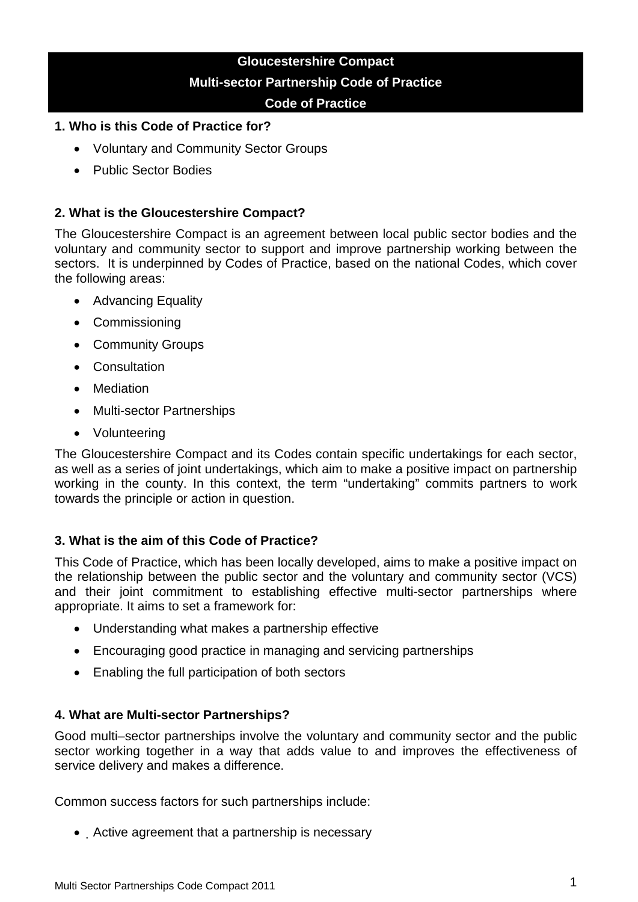# **Gloucestershire Compact Multi-sector Partnership Code of Practice Code of Practice**

### **1. Who is this Code of Practice for?**

- Voluntary and Community Sector Groups
- Public Sector Bodies

## **2. What is the Gloucestershire Compact?**

The Gloucestershire Compact is an agreement between local public sector bodies and the voluntary and community sector to support and improve partnership working between the sectors. It is underpinned by Codes of Practice, based on the national Codes, which cover the following areas:

- Advancing Equality
- Commissioning
- Community Groups
- Consultation
- Mediation
- Multi-sector Partnerships
- Volunteering

The Gloucestershire Compact and its Codes contain specific undertakings for each sector, as well as a series of joint undertakings, which aim to make a positive impact on partnership working in the county. In this context, the term "undertaking" commits partners to work towards the principle or action in question.

## **3. What is the aim of this Code of Practice?**

This Code of Practice, which has been locally developed, aims to make a positive impact on the relationship between the public sector and the voluntary and community sector (VCS) and their joint commitment to establishing effective multi-sector partnerships where appropriate. It aims to set a framework for:

- Understanding what makes a partnership effective
- Encouraging good practice in managing and servicing partnerships
- Enabling the full participation of both sectors

#### **4. What are Multi-sector Partnerships?**

Good multi–sector partnerships involve the voluntary and community sector and the public sector working together in a way that adds value to and improves the effectiveness of service delivery and makes a difference.

Common success factors for such partnerships include:

• Active agreement that a partnership is necessary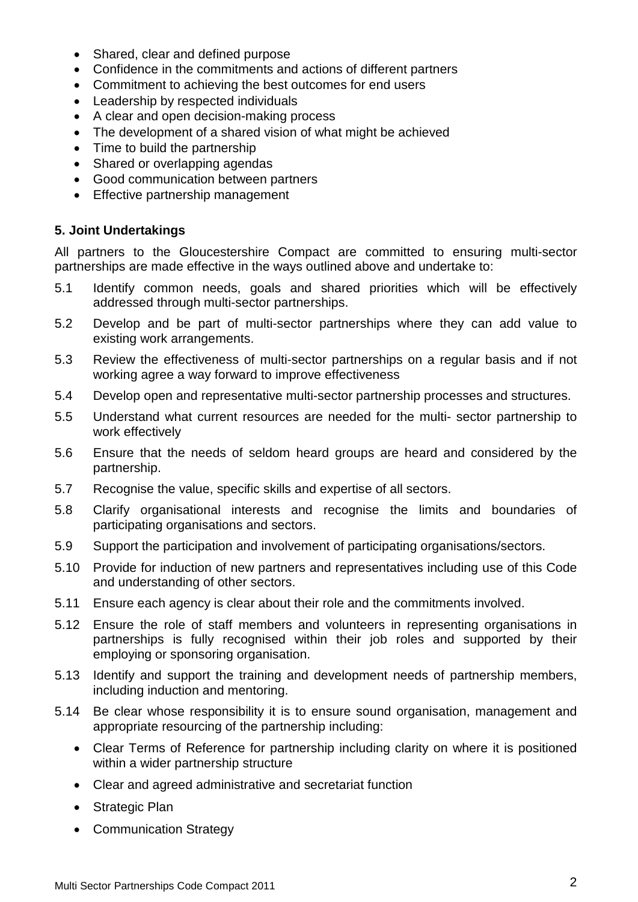- Shared, clear and defined purpose
- Confidence in the commitments and actions of different partners
- Commitment to achieving the best outcomes for end users
- Leadership by respected individuals
- A clear and open decision-making process
- The development of a shared vision of what might be achieved
- Time to build the partnership
- Shared or overlapping agendas
- Good communication between partners
- Effective partnership management

# **5. Joint Undertakings**

All partners to the Gloucestershire Compact are committed to ensuring multi-sector partnerships are made effective in the ways outlined above and undertake to:

- 5.1 Identify common needs, goals and shared priorities which will be effectively addressed through multi-sector partnerships.
- 5.2 Develop and be part of multi-sector partnerships where they can add value to existing work arrangements.
- 5.3 Review the effectiveness of multi-sector partnerships on a regular basis and if not working agree a way forward to improve effectiveness
- 5.4 Develop open and representative multi-sector partnership processes and structures.
- 5.5 Understand what current resources are needed for the multi- sector partnership to work effectively
- 5.6 Ensure that the needs of seldom heard groups are heard and considered by the partnership.
- 5.7 Recognise the value, specific skills and expertise of all sectors.
- 5.8 Clarify organisational interests and recognise the limits and boundaries of participating organisations and sectors.
- 5.9 Support the participation and involvement of participating organisations/sectors.
- 5.10 Provide for induction of new partners and representatives including use of this Code and understanding of other sectors.
- 5.11 Ensure each agency is clear about their role and the commitments involved.
- 5.12 Ensure the role of staff members and volunteers in representing organisations in partnerships is fully recognised within their job roles and supported by their employing or sponsoring organisation.
- 5.13 Identify and support the training and development needs of partnership members, including induction and mentoring.
- 5.14 Be clear whose responsibility it is to ensure sound organisation, management and appropriate resourcing of the partnership including:
	- Clear Terms of Reference for partnership including clarity on where it is positioned within a wider partnership structure
	- Clear and agreed administrative and secretariat function
	- Strategic Plan
	- Communication Strategy